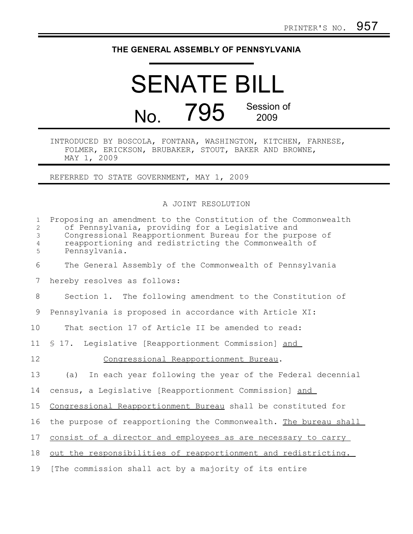## **THE GENERAL ASSEMBLY OF PENNSYLVANIA**

## SENATE BILL No. 795 Session of 2009

INTRODUCED BY BOSCOLA, FONTANA, WASHINGTON, KITCHEN, FARNESE, FOLMER, ERICKSON, BRUBAKER, STOUT, BAKER AND BROWNE, MAY 1, 2009

REFERRED TO STATE GOVERNMENT, MAY 1, 2009

A JOINT RESOLUTION

| $\mathbf{1}$<br>$\overline{c}$<br>3<br>$\overline{4}$<br>5 | Proposing an amendment to the Constitution of the Commonwealth<br>of Pennsylvania, providing for a Legislative and<br>Congressional Reapportionment Bureau for the purpose of<br>reapportioning and redistricting the Commonwealth of<br>Pennsylvania. |
|------------------------------------------------------------|--------------------------------------------------------------------------------------------------------------------------------------------------------------------------------------------------------------------------------------------------------|
| 6                                                          | The General Assembly of the Commonwealth of Pennsylvania                                                                                                                                                                                               |
| 7                                                          | hereby resolves as follows:                                                                                                                                                                                                                            |
| 8                                                          | Section 1. The following amendment to the Constitution of                                                                                                                                                                                              |
| 9                                                          | Pennsylvania is proposed in accordance with Article XI:                                                                                                                                                                                                |
| 10                                                         | That section 17 of Article II be amended to read:                                                                                                                                                                                                      |
| 11                                                         | \$ 17. Legislative [Reapportionment Commission] and                                                                                                                                                                                                    |
| 12                                                         | Congressional Reapportionment Bureau.                                                                                                                                                                                                                  |
| 13                                                         | In each year following the year of the Federal decennial<br>(a)                                                                                                                                                                                        |
| 14                                                         | census, a Legislative [Reapportionment Commission] and                                                                                                                                                                                                 |
| 15                                                         | Congressional Reapportionment Bureau shall be constituted for                                                                                                                                                                                          |
| 16                                                         | the purpose of reapportioning the Commonwealth. The bureau shall                                                                                                                                                                                       |
| 17                                                         | consist of a director and employees as are necessary to carry                                                                                                                                                                                          |
| 18                                                         | out the responsibilities of reapportionment and redistricting.                                                                                                                                                                                         |
| 19                                                         | [The commission shall act by a majority of its entire                                                                                                                                                                                                  |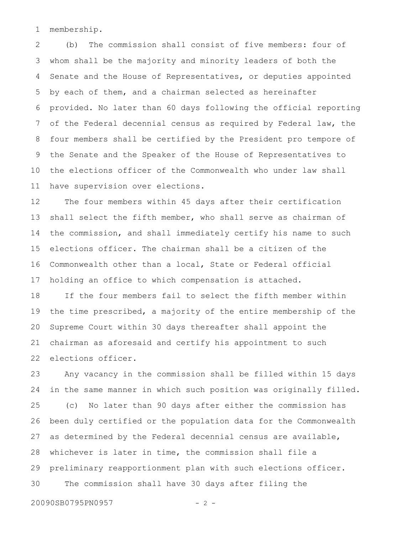membership. 1

(b) The commission shall consist of five members: four of whom shall be the majority and minority leaders of both the Senate and the House of Representatives, or deputies appointed by each of them, and a chairman selected as hereinafter provided. No later than 60 days following the official reporting of the Federal decennial census as required by Federal law, the four members shall be certified by the President pro tempore of the Senate and the Speaker of the House of Representatives to the elections officer of the Commonwealth who under law shall have supervision over elections. 2 3 4 5 6 7 8 9 10 11

The four members within 45 days after their certification shall select the fifth member, who shall serve as chairman of the commission, and shall immediately certify his name to such elections officer. The chairman shall be a citizen of the Commonwealth other than a local, State or Federal official holding an office to which compensation is attached. 12 13 14 15 16 17

If the four members fail to select the fifth member within the time prescribed, a majority of the entire membership of the Supreme Court within 30 days thereafter shall appoint the chairman as aforesaid and certify his appointment to such elections officer. 18 19 20 21 22

Any vacancy in the commission shall be filled within 15 days in the same manner in which such position was originally filled. (c) No later than 90 days after either the commission has been duly certified or the population data for the Commonwealth as determined by the Federal decennial census are available, whichever is later in time, the commission shall file a preliminary reapportionment plan with such elections officer. The commission shall have 30 days after filing the 23 24 25 26 27 28 29 30

20090SB0795PN0957 - 2 -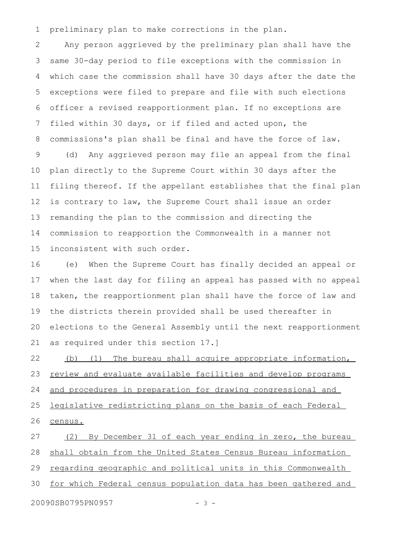preliminary plan to make corrections in the plan. 1

Any person aggrieved by the preliminary plan shall have the same 30-day period to file exceptions with the commission in which case the commission shall have 30 days after the date the exceptions were filed to prepare and file with such elections officer a revised reapportionment plan. If no exceptions are filed within 30 days, or if filed and acted upon, the commissions's plan shall be final and have the force of law. 2 3 4 5 6 7 8

(d) Any aggrieved person may file an appeal from the final plan directly to the Supreme Court within 30 days after the filing thereof. If the appellant establishes that the final plan is contrary to law, the Supreme Court shall issue an order remanding the plan to the commission and directing the commission to reapportion the Commonwealth in a manner not inconsistent with such order. 9 10 11 12 13 14 15

(e) When the Supreme Court has finally decided an appeal or when the last day for filing an appeal has passed with no appeal taken, the reapportionment plan shall have the force of law and the districts therein provided shall be used thereafter in elections to the General Assembly until the next reapportionment as required under this section 17.] 16 17 18 19 20 21

(b) (1) The bureau shall acquire appropriate information, review and evaluate available facilities and develop programs and procedures in preparation for drawing congressional and legislative redistricting plans on the basis of each Federal census. 22 23 24 25 26

(2) By December 31 of each year ending in zero, the bureau shall obtain from the United States Census Bureau information regarding geographic and political units in this Commonwealth for which Federal census population data has been gathered and 20090SB0795PN0957 - 3 -27 28 29 30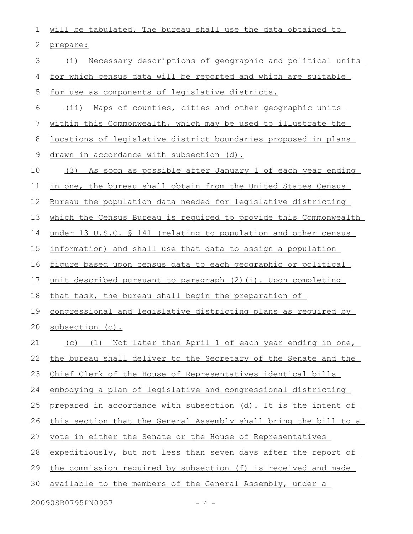will be tabulated. The bureau shall use the data obtained to prepare: (i) Necessary descriptions of geographic and political units for which census data will be reported and which are suitable for use as components of legislative districts. (ii) Maps of counties, cities and other geographic units within this Commonwealth, which may be used to illustrate the locations of legislative district boundaries proposed in plans drawn in accordance with subsection (d). (3) As soon as possible after January 1 of each year ending in one, the bureau shall obtain from the United States Census Bureau the population data needed for legislative districting which the Census Bureau is required to provide this Commonwealth under 13 U.S.C. § 141 (relating to population and other census information) and shall use that data to assign a population figure based upon census data to each geographic or political unit described pursuant to paragraph (2)(i). Upon completing that task, the bureau shall begin the preparation of congressional and legislative districting plans as required by subsection (c). (c) (1) Not later than April 1 of each year ending in one, the bureau shall deliver to the Secretary of the Senate and the Chief Clerk of the House of Representatives identical bills embodying a plan of legislative and congressional districting prepared in accordance with subsection (d). It is the intent of this section that the General Assembly shall bring the bill to a vote in either the Senate or the House of Representatives expeditiously, but not less than seven days after the report of the commission required by subsection (f) is received and made available to the members of the General Assembly, under a 1 2 3 4 5 6 7 8 9 10 11 12 13 14 15 16 17 18 19 20 21 22 23 24 25 26 27 28 29 30

20090SB0795PN0957 - 4 -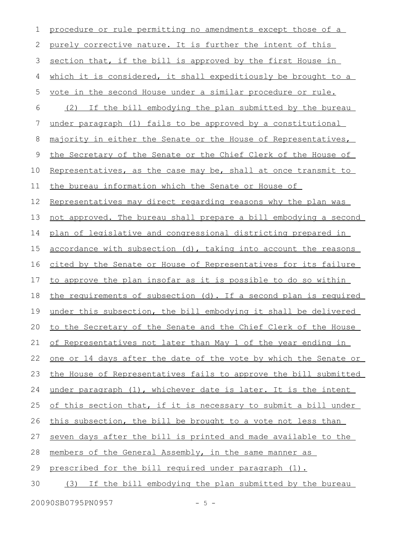| 1  | procedure or rule permitting no amendments except those of a            |
|----|-------------------------------------------------------------------------|
| 2  | purely corrective nature. It is further the intent of this              |
| 3  | section that, if the bill is approved by the first House in             |
| 4  | which it is considered, it shall expeditiously be brought to a          |
| 5  | vote in the second House under a similar procedure or rule.             |
| 6  | (2) If the bill embodying the plan submitted by the bureau              |
| 7  | under paragraph (1) fails to be approved by a constitutional            |
| 8  | majority in either the Senate or the House of Representatives,          |
| 9  | the Secretary of the Senate or the Chief Clerk of the House of          |
| 10 | Representatives, as the case may be, shall at once transmit to          |
| 11 | the bureau information which the Senate or House of                     |
| 12 | Representatives may direct regarding reasons why the plan was           |
| 13 | not approved. The bureau shall prepare a bill embodying a second        |
| 14 | plan of legislative and congressional districting prepared in           |
| 15 | accordance with subsection (d), taking into account the reasons         |
| 16 | cited by the Senate or House of Representatives for its failure         |
| 17 | to approve the plan insofar as it is possible to do so within           |
| 18 | the requirements of subsection (d). If a second plan is required        |
| 19 | under this subsection, the bill embodying it shall be delivered         |
|    | 20 to the Secretary of the Senate and the Chief Clerk of the House      |
| 21 | of Representatives not later than May 1 of the year ending in           |
| 22 | <u>one or 14 days after the date of the vote by which the Senate or</u> |
| 23 | the House of Representatives fails to approve the bill submitted        |
| 24 | under paragraph (1), whichever date is later. It is the intent          |
| 25 | of this section that, if it is necessary to submit a bill under         |
| 26 | this subsection, the bill be brought to a vote not less than            |
| 27 | seven days after the bill is printed and made available to the          |
| 28 | members of the General Assembly, in the same manner as                  |
| 29 | prescribed for the bill required under paragraph (1).                   |
| 30 | (3) If the bill embodying the plan submitted by the bureau              |
|    | 20090SB0795PN0957<br>$-5 -$                                             |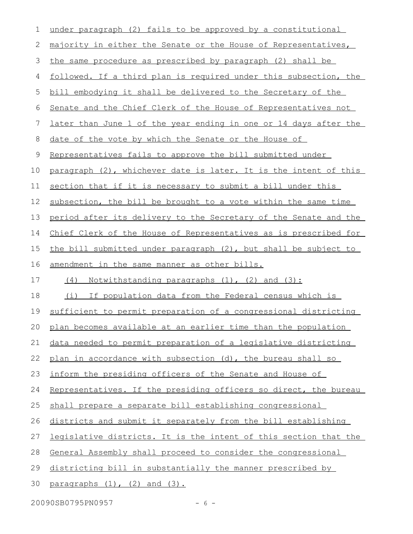| 1           | under paragraph (2) fails to be approved by a constitutional     |
|-------------|------------------------------------------------------------------|
| 2           | majority in either the Senate or the House of Representatives,   |
| 3           | the same procedure as prescribed by paragraph (2) shall be       |
| 4           | followed. If a third plan is required under this subsection, the |
| 5           | bill embodying it shall be delivered to the Secretary of the     |
| 6           | Senate and the Chief Clerk of the House of Representatives not   |
| 7           | later than June 1 of the year ending in one or 14 days after the |
| 8           | date of the vote by which the Senate or the House of             |
| $\mathsf 9$ | Representatives fails to approve the bill submitted under        |
| 10          | paragraph (2), whichever date is later. It is the intent of this |
| 11          | section that if it is necessary to submit a bill under this      |
| 12          | subsection, the bill be brought to a vote within the same time   |
| 13          | period after its delivery to the Secretary of the Senate and the |
| 14          | Chief Clerk of the House of Representatives as is prescribed for |
| 15          | the bill submitted under paragraph (2), but shall be subject to  |
| 16          | amendment in the same manner as other bills.                     |
| 17          | (4)<br><u>Notwithstanding paragraphs (1), (2) and (3):</u>       |
| 18          | If population data from the Federal census which is<br>(i)       |
| 19          | sufficient to permit preparation of a congressional districting  |
|             | 20 plan becomes available at an earlier time than the population |
| 21          | data needed to permit preparation of a legislative districting   |
| 22          | plan in accordance with subsection (d), the bureau shall so      |
| 23          | inform the presiding officers of the Senate and House of         |
| 24          | Representatives. If the presiding officers so direct, the bureau |
| 25          | shall prepare a separate bill establishing congressional         |
| 26          | districts and submit it separately from the bill establishing    |
| 27          | legislative districts. It is the intent of this section that the |
| 28          | General Assembly shall proceed to consider the congressional     |
| 29          | districting bill in substantially the manner prescribed by       |
| 30          | paragraphs $(1)$ , $(2)$ and $(3)$ .                             |
|             | 20090SB0795PN0957<br>$-6-$                                       |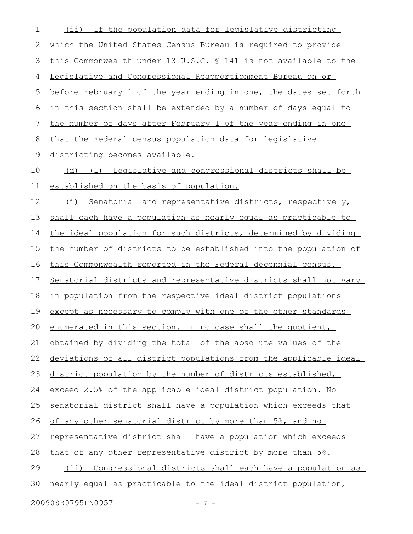| 1  | (ii) If the population data for legislative districting          |
|----|------------------------------------------------------------------|
| 2  | which the United States Census Bureau is required to provide     |
| 3  | this Commonwealth under 13 U.S.C. \$ 141 is not available to the |
| 4  | Legislative and Congressional Reapportionment Bureau on or       |
| 5  | before February 1 of the year ending in one, the dates set forth |
| 6  | in this section shall be extended by a number of days equal to   |
| 7  | the number of days after February 1 of the year ending in one    |
| 8  | that the Federal census population data for legislative          |
| 9  | districting becomes available.                                   |
| 10 | (d) (1) Legislative and congressional districts shall be         |
| 11 | established on the basis of population.                          |
| 12 | Senatorial and representative districts, respectively,<br>(i)    |
| 13 | shall each have a population as nearly equal as practicable to   |
| 14 | the ideal population for such districts, determined by dividing  |
| 15 | the number of districts to be established into the population of |
| 16 | this Commonwealth reported in the Federal decennial census.      |
| 17 | Senatorial districts and representative districts shall not vary |
| 18 | in population from the respective ideal district populations     |
| 19 | except as necessary to comply with one of the other standards    |
|    | 20 enumerated in this section. In no case shall the quotient,    |
| 21 | obtained by dividing the total of the absolute values of the     |
| 22 | deviations of all district populations from the applicable ideal |
| 23 | district population by the number of districts established,      |
| 24 | exceed 2.5% of the applicable ideal district population. No      |
| 25 | senatorial district shall have a population which exceeds that   |
| 26 | of any other senatorial district by more than 5%, and no         |
| 27 | representative district shall have a population which exceeds    |
| 28 | that of any other representative district by more than 5%.       |
| 29 | (ii) Congressional districts shall each have a population as     |
| 30 | nearly equal as practicable to the ideal district population,    |
|    | 20090SB0795PN0957<br>$-7-$                                       |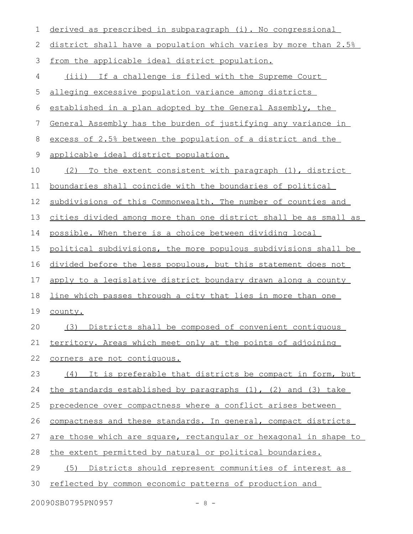| 1           | derived as prescribed in subparagraph (i). No congressional          |
|-------------|----------------------------------------------------------------------|
| 2           | district shall have a population which varies by more than 2.5%      |
| 3           | from the applicable ideal district population.                       |
| 4           | (iii) If a challenge is filed with the Supreme Court                 |
| 5           | alleging excessive population variance among districts               |
| 6           | established in a plan adopted by the General Assembly, the           |
| 7           | General Assembly has the burden of justifying any variance in        |
| 8           | excess of 2.5% between the population of a district and the          |
| $\mathsf 9$ | applicable ideal district population.                                |
| 10          | To the extent consistent with paragraph (1), district<br>(2)         |
| 11          | boundaries shall coincide with the boundaries of political           |
| 12          | subdivisions of this Commonwealth. The number of counties and        |
| 13          | cities divided among more than one district shall be as small as     |
| 14          | possible. When there is a choice between dividing local              |
| 15          | political subdivisions, the more populous subdivisions shall be      |
| 16          | divided before the less populous, but this statement does not        |
| 17          | apply to a legislative district boundary drawn along a county        |
| 18          | <u>line which passes through a city that lies in more than one</u>   |
| 19          | county.                                                              |
| 20          | (3) Districts shall be composed of convenient contiguous             |
| 21          | territory. Areas which meet only at the points of adjoining          |
| 22          | corners are not contiquous.                                          |
| 23          | (4) It is preferable that districts be compact in form, but          |
| 24          | the standards established by paragraphs $(1)$ , $(2)$ and $(3)$ take |
| 25          | precedence over compactness where a conflict arises between          |
| 26          | compactness and these standards. In general, compact districts       |
| 27          | are those which are square, rectangular or hexagonal in shape to     |
| 28          | the extent permitted by natural or political boundaries.             |
| 29          | (5) Districts should represent communities of interest as            |
| 30          | reflected by common economic patterns of production and              |
|             |                                                                      |

20090SB0795PN0957 - 8 -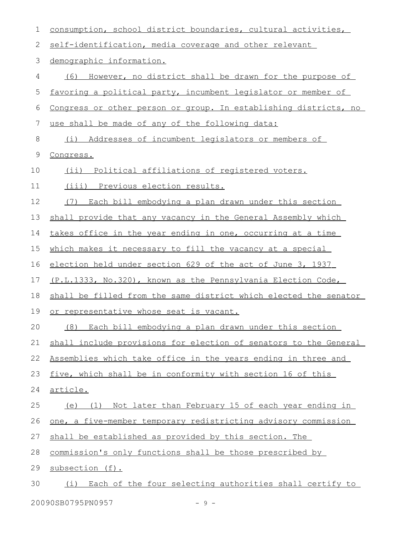| 1  | consumption, school district boundaries, cultural activities,    |
|----|------------------------------------------------------------------|
| 2  | self-identification, media coverage and other relevant           |
| 3  | demographic information.                                         |
| 4  | However, no district shall be drawn for the purpose of<br>(6)    |
| 5  | favoring a political party, incumbent legislator or member of    |
| 6  | Congress or other person or group. In establishing districts, no |
| 7  | use shall be made of any of the following data:                  |
| 8  | Addresses of incumbent legislators or members of<br>(i)          |
| 9  | Congress.                                                        |
| 10 | (ii) Political affiliations of registered voters.                |
| 11 | (iii) Previous election results.                                 |
| 12 | (7)<br>Each bill embodying a plan drawn under this section       |
| 13 | shall provide that any vacancy in the General Assembly which     |
| 14 | takes office in the year ending in one, occurring at a time      |
| 15 | which makes it necessary to fill the vacancy at a special        |
| 16 | election held under section 629 of the act of June 3, 1937       |
| 17 | (P.L.1333, No.320), known as the Pennsylvania Election Code,     |
| 18 | shall be filled from the same district which elected the senator |
| 19 | or representative whose seat is vacant.                          |
| 20 | (8) Each bill embodying a plan drawn under this section          |
| 21 | shall include provisions for election of senators to the General |
| 22 | Assemblies which take office in the years ending in three and    |
| 23 | five, which shall be in conformity with section 16 of this       |
| 24 | <u>article.</u>                                                  |
| 25 | (e) (1) Not later than February 15 of each year ending in        |
| 26 | one, a five-member temporary redistricting advisory commission   |
| 27 | shall be established as provided by this section. The            |
| 28 | commission's only functions shall be those prescribed by         |
| 29 | subsection (f).                                                  |
| 30 | Each of the four selecting authorities shall certify to<br>(i)   |
|    | 20090SB0795PN0957<br>-9-                                         |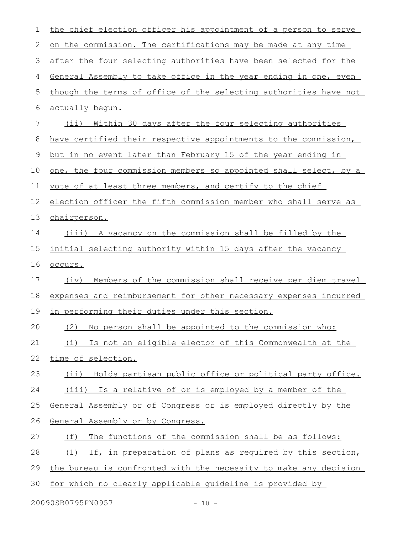| $\mathbf 1$ | the chief election officer his appointment of a person to serve     |
|-------------|---------------------------------------------------------------------|
| 2           | on the commission. The certifications may be made at any time       |
| 3           | after the four selecting authorities have been selected for the     |
| 4           | General Assembly to take office in the year ending in one, even     |
| 5           | though the terms of office of the selecting authorities have not    |
| 6           | actually begun.                                                     |
| 7           | (ii) Within 30 days after the four selecting authorities            |
| 8           | have certified their respective appointments to the commission,     |
| 9           | <u>but in no event later than February 15 of the year ending in</u> |
| 10          | one, the four commission members so appointed shall select, by a    |
| 11          | vote of at least three members, and certify to the chief            |
| 12          | election officer the fifth commission member who shall serve as     |
| 13          | chairperson.                                                        |
| 14          | (iii) A vacancy on the commission shall be filled by the            |
| 15          | initial selecting authority within 15 days after the vacancy        |
| 16          | occurs.                                                             |
| 17          | Members of the commission shall receive per diem travel<br>(iv)     |
| 18          | expenses and reimbursement for other necessary expenses incurred    |
| 19          | in performing their duties under this section.                      |
| 20          | (2) No person shall be appointed to the commission who:             |
| 21          | Is not an eligible elector of this Commonwealth at the<br>(i)       |
| 22          | time of selection.                                                  |
| 23          | (ii) Holds partisan public office or political party office.        |
| 24          | (iii) Is a relative of or is employed by a member of the            |
| 25          | General Assembly or of Congress or is employed directly by the      |
| 26          | General Assembly or by Congress.                                    |
| 27          | The functions of the commission shall be as follows:<br>(f)         |
| 28          | If, in preparation of plans as required by this section,<br>(1)     |
| 29          | the bureau is confronted with the necessity to make any decision    |
| 30          | for which no clearly applicable quideline is provided by            |
|             |                                                                     |

20090SB0795PN0957 - 10 -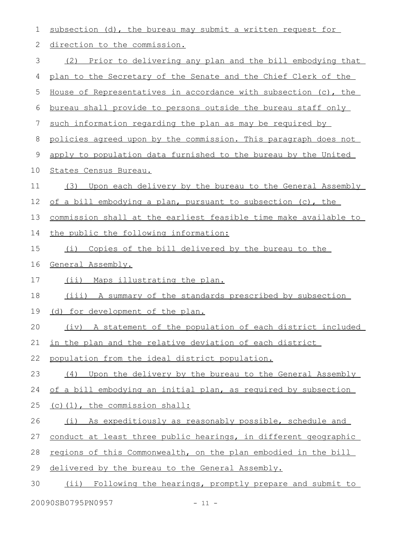| 1              | subsection (d), the bureau may submit a written request for       |
|----------------|-------------------------------------------------------------------|
| 2              | direction to the commission.                                      |
| $\mathfrak{Z}$ | (2) Prior to delivering any plan and the bill embodying that      |
| 4              | plan to the Secretary of the Senate and the Chief Clerk of the    |
| 5              | House of Representatives in accordance with subsection (c), the   |
| 6              | bureau shall provide to persons outside the bureau staff only     |
| 7              | such information regarding the plan as may be required by         |
| 8              | policies agreed upon by the commission. This paragraph does not   |
| $\mathsf 9$    | apply to population data furnished to the bureau by the United    |
| 10             | States Census Bureau.                                             |
| 11             | Upon each delivery by the bureau to the General Assembly<br>(3)   |
| 12             | of a bill embodying a plan, pursuant to subsection (c), the       |
| 13             | commission shall at the earliest feasible time make available to  |
| 14             | the public the following information:                             |
| 15             | Copies of the bill delivered by the bureau to the<br>(i)          |
|                |                                                                   |
| 16             | General Assembly.                                                 |
| 17             | (ii) Maps illustrating the plan.                                  |
| 18             | (iii) A summary of the standards prescribed by subsection         |
| 19             | (d) for development of the plan.                                  |
| 20             | (iv) A statement of the population of each district included      |
| 21             | in the plan and the relative deviation of each district           |
| 22             | population from the ideal district population.                    |
| 23             | Upon the delivery by the bureau to the General Assembly<br>(4)    |
| 24             | of a bill embodying an initial plan, as required by subsection    |
| 25             | (c)(1), the commission shall:                                     |
| 26             | (i) As expeditiously as reasonably possible, schedule and         |
| 27             | conduct at least three public hearings, in different geographic   |
| 28             | regions of this Commonwealth, on the plan embodied in the bill    |
| 29             | delivered by the bureau to the General Assembly.                  |
| 30             | Following the hearings, promptly prepare and submit to<br>$(i$ i) |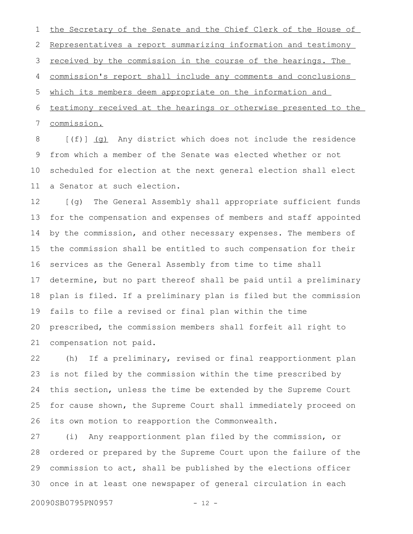the Secretary of the Senate and the Chief Clerk of the House of Representatives a report summarizing information and testimony received by the commission in the course of the hearings. The commission's report shall include any comments and conclusions which its members deem appropriate on the information and testimony received at the hearings or otherwise presented to the commission. 1 2 3 4 5 6 7

[(f)] (g) Any district which does not include the residence from which a member of the Senate was elected whether or not scheduled for election at the next general election shall elect a Senator at such election. 8 9 10 11

[(g) The General Assembly shall appropriate sufficient funds for the compensation and expenses of members and staff appointed by the commission, and other necessary expenses. The members of the commission shall be entitled to such compensation for their services as the General Assembly from time to time shall determine, but no part thereof shall be paid until a preliminary plan is filed. If a preliminary plan is filed but the commission fails to file a revised or final plan within the time prescribed, the commission members shall forfeit all right to compensation not paid. 12 13 14 15 16 17 18 19 20 21

(h) If a preliminary, revised or final reapportionment plan is not filed by the commission within the time prescribed by this section, unless the time be extended by the Supreme Court for cause shown, the Supreme Court shall immediately proceed on its own motion to reapportion the Commonwealth. 22 23 24 25 26

(i) Any reapportionment plan filed by the commission, or ordered or prepared by the Supreme Court upon the failure of the commission to act, shall be published by the elections officer once in at least one newspaper of general circulation in each 27 28 29 30

20090SB0795PN0957 - 12 -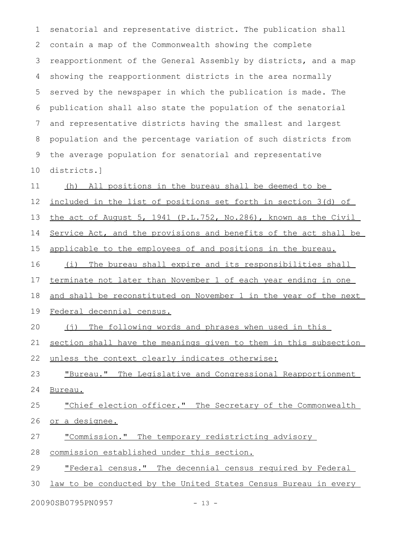senatorial and representative district. The publication shall contain a map of the Commonwealth showing the complete reapportionment of the General Assembly by districts, and a map showing the reapportionment districts in the area normally served by the newspaper in which the publication is made. The publication shall also state the population of the senatorial and representative districts having the smallest and largest population and the percentage variation of such districts from the average population for senatorial and representative districts.] (h) All positions in the bureau shall be deemed to be included in the list of positions set forth in section 3(d) of the act of August 5, 1941 (P.L.752, No.286) , known as the Civil Service Act, and the provisions and benefits of the act shall be applicable to the employees of and positions in the bureau. (i) The bureau shall expire and its responsibilities shall terminate not later than November 1 of each year ending in one and shall be reconstituted on November 1 in the year of the next Federal decennial census. (j) The following words and phrases when used in this section shall have the meanings given to them in this subsection unless the context clearly indicates otherwise: " Bureau. " The Legislative and Congressional Reapportionment Bureau. " Chief election officer." The Secretary of the Commonwealth or a designee. " Commission." The temporary redistricting advisory commission established under this section. " Federal census. " The decennial census required by Federal 1 2 3 4 5 6 7 8 9 10 11 12 13 14 15 16 17 18 19 20 21 22 23 24 25 26 27 28 29

law to be conducted by the United States Census Bureau in every 30

20090SB0795PN0957 - 13 -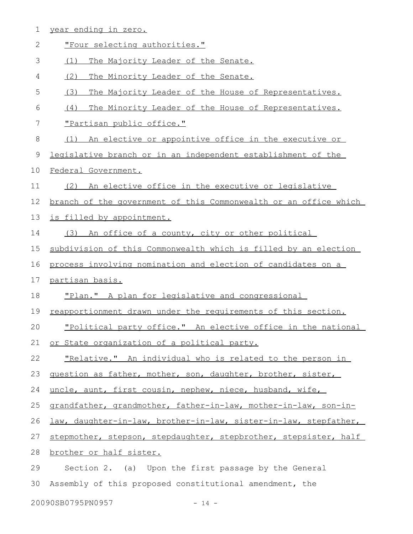|  | vear ending in zero |  |  |
|--|---------------------|--|--|
|  |                     |  |  |

| $\mathbf{2}$ | "Four selecting authorities."                                    |
|--------------|------------------------------------------------------------------|
| 3            | (1)<br>The Majority Leader of the Senate.                        |
| 4            | (2)<br>The Minority Leader of the Senate.                        |
| 5            | (3)<br>The Majority Leader of the House of Representatives.      |
| 6            | The Minority Leader of the House of Representatives.<br>(4)      |
| 7            | "Partisan public office."                                        |
| $\,8\,$      | An elective or appointive office in the executive or<br>(1)      |
| 9            | legislative branch or in an independent establishment of the     |
| 10           | Federal Government.                                              |
| 11           | (2) An elective office in the executive or legislative           |
| 12           | branch of the government of this Commonwealth or an office which |
| 13           | is filled by appointment.                                        |
| 14           | (3)<br>An office of a county, city or other political            |
| 15           | subdivision of this Commonwealth which is filled by an election  |
| 16           | process involving nomination and election of candidates on a     |
|              |                                                                  |
| 17           | partisan basis.                                                  |
| 18           | "Plan." A plan for legislative and congressional                 |
| 19           | reapportionment drawn under the requirements of this section.    |
| 20           | "Political party office." An elective office in the national     |
| 21           | or State organization of a political party.                      |
| 22           | "Relative." An individual who is related to the person in        |
| 23           | question as father, mother, son, daughter, brother, sister,      |
| 24           | uncle, aunt, first cousin, nephew, niece, husband, wife,         |
| 25           | grandfather, grandmother, father-in-law, mother-in-law, son-in-  |
| 26           | law, daughter-in-law, brother-in-law, sister-in-law, stepfather, |
| 27           | stepmother, stepson, stepdaughter, stepbrother, stepsister, half |
| 28           | brother or half sister.                                          |
| 29           | Section 2. (a) Upon the first passage by the General             |
| 30           | Assembly of this proposed constitutional amendment, the          |